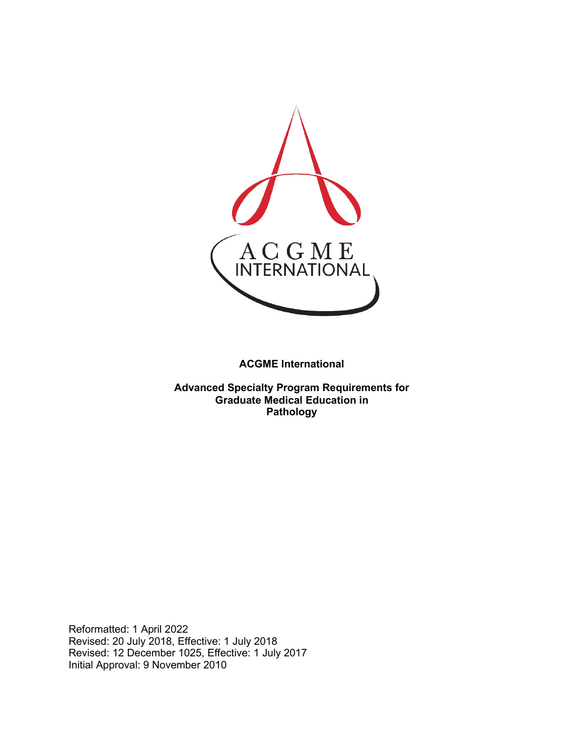

**ACGME International** 

**Advanced Specialty Program Requirements for Graduate Medical Education in Pathology**

Reformatted: 1 April 2022 Revised: 20 July 2018, Effective: 1 July 2018 Revised: 12 December 1025, Effective: 1 July 2017 Initial Approval: 9 November 2010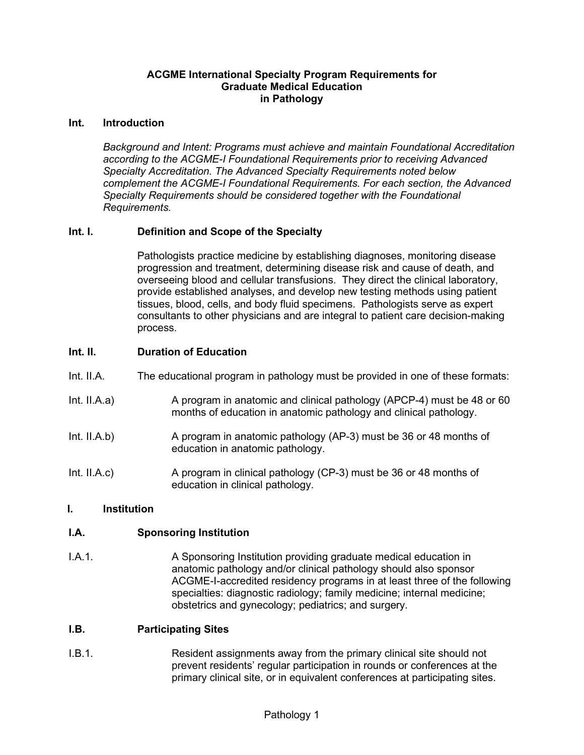#### **ACGME International Specialty Program Requirements for Graduate Medical Education in Pathology**

#### **Int. Introduction**

*Background and Intent: Programs must achieve and maintain Foundational Accreditation according to the ACGME-I Foundational Requirements prior to receiving Advanced Specialty Accreditation. The Advanced Specialty Requirements noted below complement the ACGME-I Foundational Requirements. For each section, the Advanced Specialty Requirements should be considered together with the Foundational Requirements.*

#### **Int. I. Definition and Scope of the Specialty**

Pathologists practice medicine by establishing diagnoses, monitoring disease progression and treatment, determining disease risk and cause of death, and overseeing blood and cellular transfusions. They direct the clinical laboratory, provide established analyses, and develop new testing methods using patient tissues, blood, cells, and body fluid specimens. Pathologists serve as expert consultants to other physicians and are integral to patient care decision-making process.

#### **Int. II. Duration of Education**

- Int. II.A. The educational program in pathology must be provided in one of these formats:
- Int. II.A.a) A program in anatomic and clinical pathology (APCP-4) must be 48 or 60 months of education in anatomic pathology and clinical pathology.
- Int. II.A.b) A program in anatomic pathology (AP-3) must be 36 or 48 months of education in anatomic pathology.
- Int. II.A.c) A program in clinical pathology (CP-3) must be 36 or 48 months of education in clinical pathology.

#### **I. Institution**

#### **I.A. Sponsoring Institution**

I.A.1. A Sponsoring Institution providing graduate medical education in anatomic pathology and/or clinical pathology should also sponsor ACGME-I-accredited residency programs in at least three of the following specialties: diagnostic radiology; family medicine; internal medicine; obstetrics and gynecology; pediatrics; and surgery.

#### **I.B. Participating Sites**

I.B.1. Resident assignments away from the primary clinical site should not prevent residents' regular participation in rounds or conferences at the primary clinical site, or in equivalent conferences at participating sites.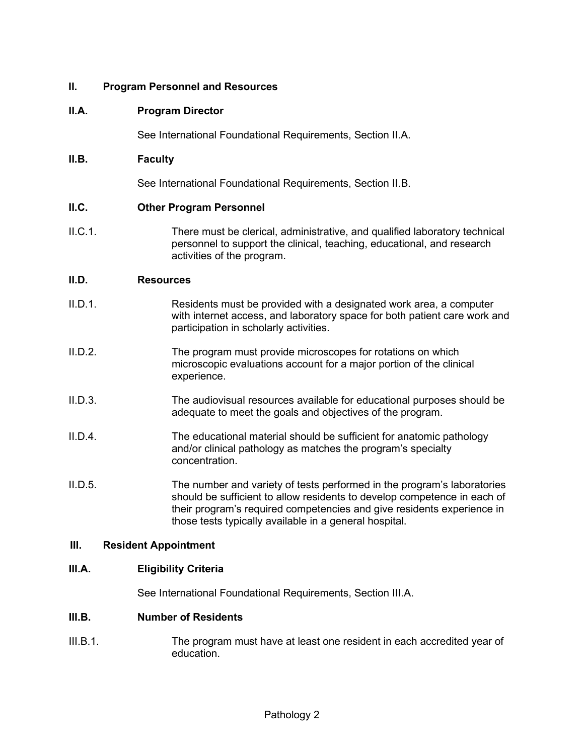#### **II. Program Personnel and Resources**

#### **II.A. Program Director**

See International Foundational Requirements, Section II.A.

#### **II.B. Faculty**

See International Foundational Requirements, Section II.B.

#### **II.C. Other Program Personnel**

II.C.1. There must be clerical, administrative, and qualified laboratory technical personnel to support the clinical, teaching, educational, and research activities of the program.

#### **II.D. Resources**

- II.D.1. Residents must be provided with a designated work area, a computer with internet access, and laboratory space for both patient care work and participation in scholarly activities.
- II.D.2. The program must provide microscopes for rotations on which microscopic evaluations account for a major portion of the clinical experience.
- II.D.3. The audiovisual resources available for educational purposes should be adequate to meet the goals and objectives of the program.
- II.D.4. The educational material should be sufficient for anatomic pathology and/or clinical pathology as matches the program's specialty concentration.
- II.D.5. The number and variety of tests performed in the program's laboratories should be sufficient to allow residents to develop competence in each of their program's required competencies and give residents experience in those tests typically available in a general hospital.

#### **III. Resident Appointment**

#### **III.A. Eligibility Criteria**

See International Foundational Requirements, Section III.A.

#### **III.B. Number of Residents**

III.B.1. The program must have at least one resident in each accredited year of education.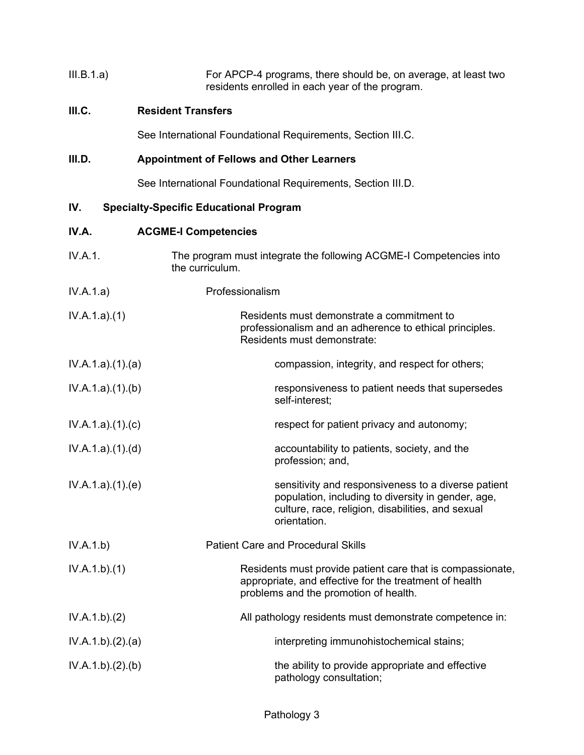| III.B.1.a) | For APCP-4 programs, there should be, on average, at least two |
|------------|----------------------------------------------------------------|
|            | residents enrolled in each year of the program.                |

## **III.C. Resident Transfers**

See International Foundational Requirements, Section III.C.

## **III.D. Appointment of Fellows and Other Learners**

See International Foundational Requirements, Section III.D.

# **IV. Specialty-Specific Educational Program**

### **IV.A. ACGME-I Competencies**

| IV.A.1.          | The program must integrate the following ACGME-I Competencies into<br>the curriculum.                                                                                          |
|------------------|--------------------------------------------------------------------------------------------------------------------------------------------------------------------------------|
| IV.A.1.a)        | Professionalism                                                                                                                                                                |
| IV.A.1.a)(1)     | Residents must demonstrate a commitment to<br>professionalism and an adherence to ethical principles.<br>Residents must demonstrate:                                           |
| IV.A.1.a)(1)(a)  | compassion, integrity, and respect for others;                                                                                                                                 |
| IV.A.1.a)(1)(b)  | responsiveness to patient needs that supersedes<br>self-interest;                                                                                                              |
| IV.A.1.a)(1)(c)  | respect for patient privacy and autonomy;                                                                                                                                      |
| IV.A.1.a)(1)(d)  | accountability to patients, society, and the<br>profession; and,                                                                                                               |
| IV.A.1.a)(1)(e)  | sensitivity and responsiveness to a diverse patient<br>population, including to diversity in gender, age,<br>culture, race, religion, disabilities, and sexual<br>orientation. |
| IV.A.1.b)        | <b>Patient Care and Procedural Skills</b>                                                                                                                                      |
| IV.A.1.b)(1)     | Residents must provide patient care that is compassionate,<br>appropriate, and effective for the treatment of health<br>problems and the promotion of health.                  |
| IV.A.1.b)(2)     | All pathology residents must demonstrate competence in:                                                                                                                        |
| IV.A.1.b)(2).(a) | interpreting immunohistochemical stains;                                                                                                                                       |
| IV.A.1.b)(2)(b)  | the ability to provide appropriate and effective<br>pathology consultation;                                                                                                    |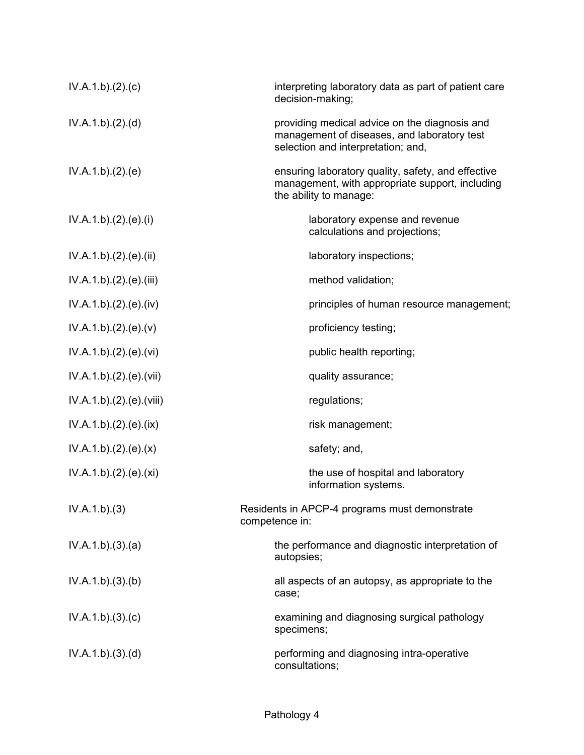| IV.A.1.b)(2).(c)        | interpreting laboratory data as part of patient care<br>decision-making;                                                           |
|-------------------------|------------------------------------------------------------------------------------------------------------------------------------|
| IV.A.1.b)(2).(d)        | providing medical advice on the diagnosis and<br>management of diseases, and laboratory test<br>selection and interpretation; and, |
| IV.A.1.b)(2).(e)        | ensuring laboratory quality, safety, and effective<br>management, with appropriate support, including<br>the ability to manage:    |
| IV.A.1.b)(2).(e)(i)     | laboratory expense and revenue<br>calculations and projections;                                                                    |
| IV.A.1.b)(2).(e)(ii)    | laboratory inspections;                                                                                                            |
| IV.A.1.b).(2).(e).(iii) | method validation;                                                                                                                 |
| IV.A.1.b)(2)(e)(iv)     | principles of human resource management;                                                                                           |
| IV.A.1.b)(2)(e)(v)      | proficiency testing;                                                                                                               |
| IV.A.1.b)(2).(e)(vi)    | public health reporting;                                                                                                           |
| IV.A.1.b).(2).(e).(vii) | quality assurance;                                                                                                                 |
| IV.A.1.b)(2)(e)(viii)   | regulations;                                                                                                                       |
| IV.A.1.b)(2)(e)(ix)     | risk management;                                                                                                                   |
| IV.A.1.b)(2)(e)(x)      | safety; and,                                                                                                                       |
| IV.A.1.b).(2).(e).(xi)  | the use of hospital and laboratory<br>information systems.                                                                         |
| IV.A.1.b)(3)            | Residents in APCP-4 programs must demonstrate<br>competence in:                                                                    |
| IV.A.1.b)(3).(a)        | the performance and diagnostic interpretation of<br>autopsies;                                                                     |
| IV.A.1.b)(3)(b)         | all aspects of an autopsy, as appropriate to the<br>case;                                                                          |
| IV.A.1.b)(3)(c)         | examining and diagnosing surgical pathology<br>specimens;                                                                          |
| IV.A.1.b)(3)(d)         | performing and diagnosing intra-operative<br>consultations;                                                                        |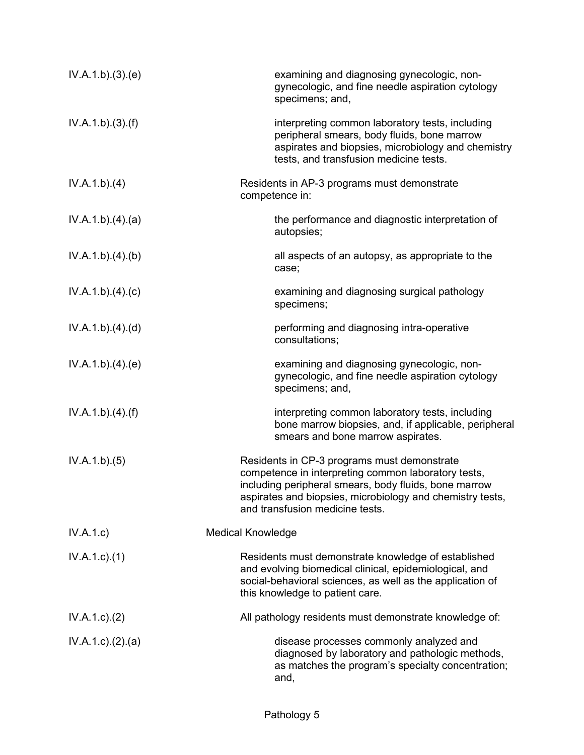| IV.A.1.b)(3)(e) | examining and diagnosing gynecologic, non-<br>gynecologic, and fine needle aspiration cytology<br>specimens; and,                                                                                                                                           |
|-----------------|-------------------------------------------------------------------------------------------------------------------------------------------------------------------------------------------------------------------------------------------------------------|
| IV.A.1.b)(3)(f) | interpreting common laboratory tests, including<br>peripheral smears, body fluids, bone marrow<br>aspirates and biopsies, microbiology and chemistry<br>tests, and transfusion medicine tests.                                                              |
| IV.A.1.b)(4)    | Residents in AP-3 programs must demonstrate<br>competence in:                                                                                                                                                                                               |
| IV.A.1.b)(4)(a) | the performance and diagnostic interpretation of<br>autopsies;                                                                                                                                                                                              |
| IV.A.1.b)(4)(b) | all aspects of an autopsy, as appropriate to the<br>case;                                                                                                                                                                                                   |
| IV.A.1.b)(4)(c) | examining and diagnosing surgical pathology<br>specimens;                                                                                                                                                                                                   |
| IV.A.1.b)(4)(d) | performing and diagnosing intra-operative<br>consultations;                                                                                                                                                                                                 |
| IV.A.1.b)(4)(e) | examining and diagnosing gynecologic, non-<br>gynecologic, and fine needle aspiration cytology<br>specimens; and,                                                                                                                                           |
| IV.A.1.b)(4)(f) | interpreting common laboratory tests, including<br>bone marrow biopsies, and, if applicable, peripheral<br>smears and bone marrow aspirates.                                                                                                                |
| IV.A.1.b)(5)    | Residents in CP-3 programs must demonstrate<br>competence in interpreting common laboratory tests,<br>including peripheral smears, body fluids, bone marrow<br>aspirates and biopsies, microbiology and chemistry tests,<br>and transfusion medicine tests. |
| IV.A.1.c)       | <b>Medical Knowledge</b>                                                                                                                                                                                                                                    |
| $IV.A.1.c.$ (1) | Residents must demonstrate knowledge of established<br>and evolving biomedical clinical, epidemiological, and<br>social-behavioral sciences, as well as the application of<br>this knowledge to patient care.                                               |
| IV.A.1.c.2)     | All pathology residents must demonstrate knowledge of:                                                                                                                                                                                                      |
| IV.A.1.c.2.2(a) | disease processes commonly analyzed and<br>diagnosed by laboratory and pathologic methods,<br>as matches the program's specialty concentration;<br>and,                                                                                                     |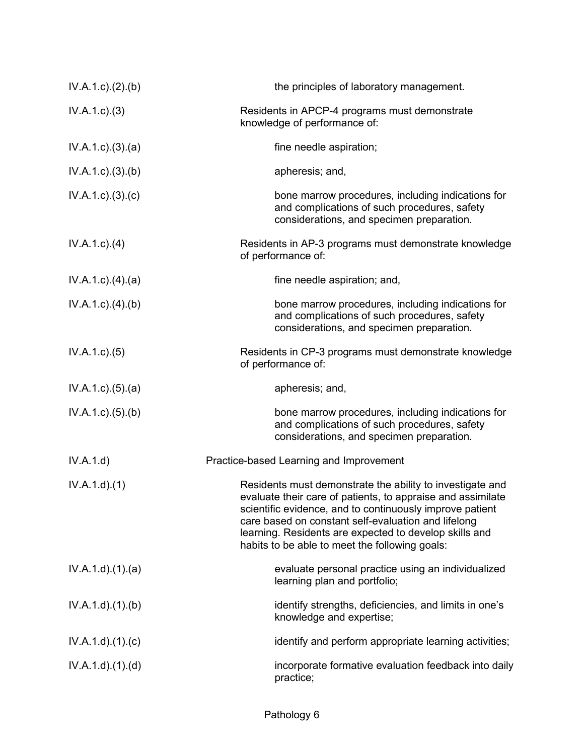| IV.A.1.c.2.(b)              | the principles of laboratory management.                                                                                                                                                                                                                                                                                                                |
|-----------------------------|---------------------------------------------------------------------------------------------------------------------------------------------------------------------------------------------------------------------------------------------------------------------------------------------------------------------------------------------------------|
| IV.A.1.c.3)                 | Residents in APCP-4 programs must demonstrate<br>knowledge of performance of:                                                                                                                                                                                                                                                                           |
| IV.A.1.c)(3).(a)            | fine needle aspiration;                                                                                                                                                                                                                                                                                                                                 |
| IV.A.1.c)(3)(b)             | apheresis; and,                                                                                                                                                                                                                                                                                                                                         |
| $IV.A.1.c$ ). $(3)$ . $(c)$ | bone marrow procedures, including indications for<br>and complications of such procedures, safety<br>considerations, and specimen preparation.                                                                                                                                                                                                          |
| $IV.A.1.c.$ (4)             | Residents in AP-3 programs must demonstrate knowledge<br>of performance of:                                                                                                                                                                                                                                                                             |
| $IV.A.1.c$ . $(4).$ $(a)$   | fine needle aspiration; and,                                                                                                                                                                                                                                                                                                                            |
| $IV.A.1.c.$ (4).(b)         | bone marrow procedures, including indications for<br>and complications of such procedures, safety<br>considerations, and specimen preparation.                                                                                                                                                                                                          |
| IV.A.1.c. (5)               | Residents in CP-3 programs must demonstrate knowledge<br>of performance of:                                                                                                                                                                                                                                                                             |
| IV.A.1.c. (5). (a)          | apheresis; and,                                                                                                                                                                                                                                                                                                                                         |
| IV.A.1.c)(5)(b)             | bone marrow procedures, including indications for<br>and complications of such procedures, safety<br>considerations, and specimen preparation.                                                                                                                                                                                                          |
| IV.A.1.d)                   | Practice-based Learning and Improvement                                                                                                                                                                                                                                                                                                                 |
| IV.A.1.d)(1)                | Residents must demonstrate the ability to investigate and<br>evaluate their care of patients, to appraise and assimilate<br>scientific evidence, and to continuously improve patient<br>care based on constant self-evaluation and lifelong<br>learning. Residents are expected to develop skills and<br>habits to be able to meet the following goals: |
| IV.A.1.d)(1)(a)             | evaluate personal practice using an individualized<br>learning plan and portfolio;                                                                                                                                                                                                                                                                      |
| IV.A.1.d.(1)(b)             | identify strengths, deficiencies, and limits in one's<br>knowledge and expertise;                                                                                                                                                                                                                                                                       |
| IV.A.1.d)(1)(c)             | identify and perform appropriate learning activities;                                                                                                                                                                                                                                                                                                   |
| IV.A.1.d)(1)(d)             | incorporate formative evaluation feedback into daily<br>practice;                                                                                                                                                                                                                                                                                       |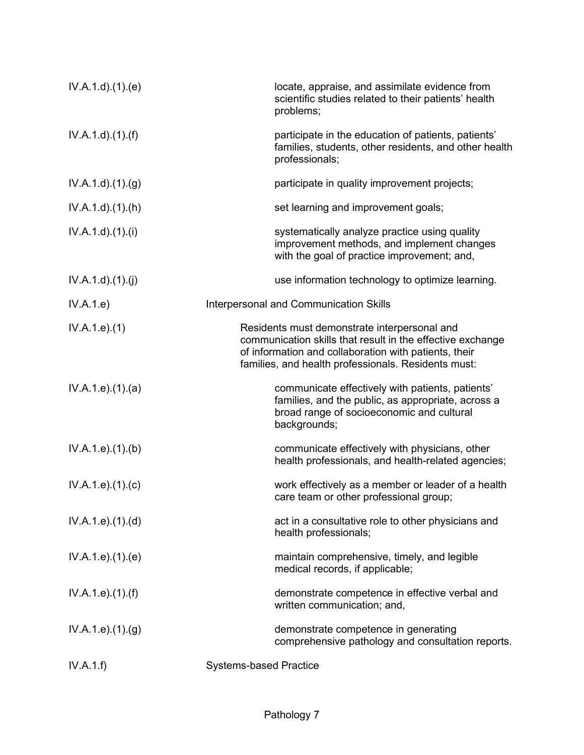| IV.A.1.d.(1)(e)               | locate, appraise, and assimilate evidence from<br>scientific studies related to their patients' health<br>problems;                                                                                                        |
|-------------------------------|----------------------------------------------------------------------------------------------------------------------------------------------------------------------------------------------------------------------------|
| IV.A.1.d)(1.(f))              | participate in the education of patients, patients'<br>families, students, other residents, and other health<br>professionals;                                                                                             |
| IV.A.1.d)(1)(g)               | participate in quality improvement projects;                                                                                                                                                                               |
| IV.A.1.d)(1)(h)               | set learning and improvement goals;                                                                                                                                                                                        |
| IV.A.1.d)(1)(i)               | systematically analyze practice using quality<br>improvement methods, and implement changes<br>with the goal of practice improvement; and,                                                                                 |
| IV.A.1.d)(1)(j)               | use information technology to optimize learning.                                                                                                                                                                           |
| IV.A.1.e)                     | Interpersonal and Communication Skills                                                                                                                                                                                     |
| IV.A.1.e. (1)                 | Residents must demonstrate interpersonal and<br>communication skills that result in the effective exchange<br>of information and collaboration with patients, their<br>families, and health professionals. Residents must: |
| IV.A.1.e. (1).(a)             | communicate effectively with patients, patients'<br>families, and the public, as appropriate, across a<br>broad range of socioeconomic and cultural<br>backgrounds;                                                        |
| IV.A.1.e. (1)(b)              | communicate effectively with physicians, other<br>health professionals, and health-related agencies;                                                                                                                       |
| IV.A.1.e. (1). (c)            | work effectively as a member or leader of a health<br>care team or other professional group;                                                                                                                               |
| IV.A.1.e. (1). (d)            | act in a consultative role to other physicians and<br>health professionals;                                                                                                                                                |
| IV.A.1.e. (1). (e)            | maintain comprehensive, timely, and legible<br>medical records, if applicable;                                                                                                                                             |
| IV.A.1.e. (1). (f)            | demonstrate competence in effective verbal and<br>written communication; and,                                                                                                                                              |
| IV.A.1.e. (1). <sub>(g)</sub> | demonstrate competence in generating<br>comprehensive pathology and consultation reports.                                                                                                                                  |
| IV.A.1.f)                     | <b>Systems-based Practice</b>                                                                                                                                                                                              |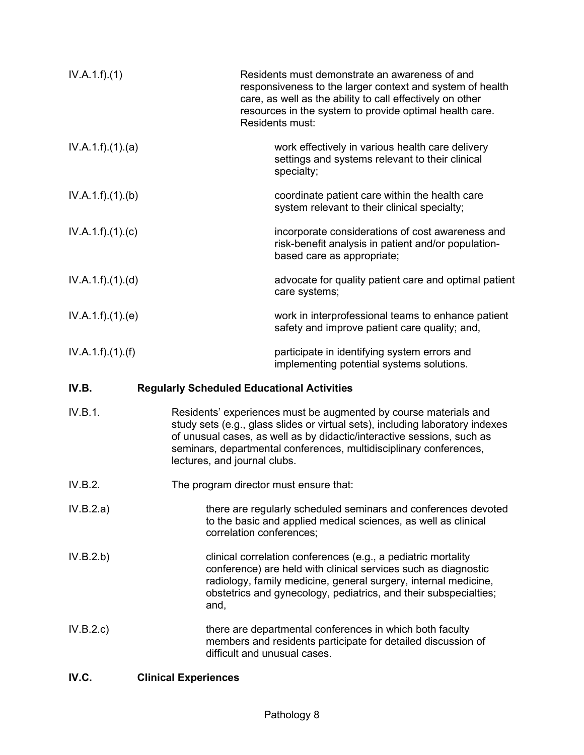| IV.A.1.f)(1)      |                                                                                                                                                                                                                                                                                                                                   | Residents must demonstrate an awareness of and<br>responsiveness to the larger context and system of health<br>care, as well as the ability to call effectively on other<br>resources in the system to provide optimal health care.<br>Residents must: |
|-------------------|-----------------------------------------------------------------------------------------------------------------------------------------------------------------------------------------------------------------------------------------------------------------------------------------------------------------------------------|--------------------------------------------------------------------------------------------------------------------------------------------------------------------------------------------------------------------------------------------------------|
| IV.A.1.f)(1)(a)   |                                                                                                                                                                                                                                                                                                                                   | work effectively in various health care delivery<br>settings and systems relevant to their clinical<br>specialty;                                                                                                                                      |
| IV.A.1.f)(1)(b)   |                                                                                                                                                                                                                                                                                                                                   | coordinate patient care within the health care<br>system relevant to their clinical specialty;                                                                                                                                                         |
| IV.A.1.f)(1)(c)   |                                                                                                                                                                                                                                                                                                                                   | incorporate considerations of cost awareness and<br>risk-benefit analysis in patient and/or population-<br>based care as appropriate;                                                                                                                  |
| IV.A.1.f).(1).(d) |                                                                                                                                                                                                                                                                                                                                   | advocate for quality patient care and optimal patient<br>care systems;                                                                                                                                                                                 |
| IV.A.1.f)(1)(e)   |                                                                                                                                                                                                                                                                                                                                   | work in interprofessional teams to enhance patient<br>safety and improve patient care quality; and,                                                                                                                                                    |
| IV.A.1.f).(1).(f) |                                                                                                                                                                                                                                                                                                                                   | participate in identifying system errors and<br>implementing potential systems solutions.                                                                                                                                                              |
| IV.B.             | <b>Regularly Scheduled Educational Activities</b>                                                                                                                                                                                                                                                                                 |                                                                                                                                                                                                                                                        |
| IV.B.1.           | Residents' experiences must be augmented by course materials and<br>study sets (e.g., glass slides or virtual sets), including laboratory indexes<br>of unusual cases, as well as by didactic/interactive sessions, such as<br>seminars, departmental conferences, multidisciplinary conferences,<br>lectures, and journal clubs. |                                                                                                                                                                                                                                                        |
| IV.B.2.           | The program director must ensure that:                                                                                                                                                                                                                                                                                            |                                                                                                                                                                                                                                                        |
| IV.B.2.a)         |                                                                                                                                                                                                                                                                                                                                   | there are regularly scheduled seminars and conferences devoted                                                                                                                                                                                         |

correlation conferences; IV.B.2.b) clinical correlation conferences (e.g., a pediatric mortality conference) are held with clinical services such as diagnostic radiology, family medicine, general surgery, internal medicine, obstetrics and gynecology, pediatrics, and their subspecialties; and,

to the basic and applied medical sciences, as well as clinical

- IV.B.2.c) there are departmental conferences in which both faculty members and residents participate for detailed discussion of difficult and unusual cases.
- **IV.C. Clinical Experiences**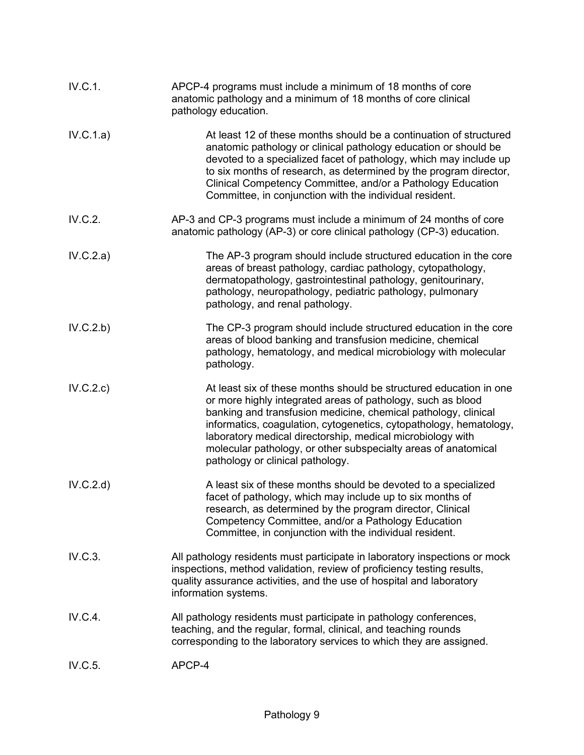| IV.C.1.   | APCP-4 programs must include a minimum of 18 months of core<br>anatomic pathology and a minimum of 18 months of core clinical<br>pathology education.                                                                                                                                                                                                                                                                                         |
|-----------|-----------------------------------------------------------------------------------------------------------------------------------------------------------------------------------------------------------------------------------------------------------------------------------------------------------------------------------------------------------------------------------------------------------------------------------------------|
| IV.C.1.a) | At least 12 of these months should be a continuation of structured<br>anatomic pathology or clinical pathology education or should be<br>devoted to a specialized facet of pathology, which may include up<br>to six months of research, as determined by the program director,<br>Clinical Competency Committee, and/or a Pathology Education<br>Committee, in conjunction with the individual resident.                                     |
| IV.C.2.   | AP-3 and CP-3 programs must include a minimum of 24 months of core<br>anatomic pathology (AP-3) or core clinical pathology (CP-3) education.                                                                                                                                                                                                                                                                                                  |
| IV.C.2.a) | The AP-3 program should include structured education in the core<br>areas of breast pathology, cardiac pathology, cytopathology,<br>dermatopathology, gastrointestinal pathology, genitourinary,<br>pathology, neuropathology, pediatric pathology, pulmonary<br>pathology, and renal pathology.                                                                                                                                              |
| IV.C.2.b) | The CP-3 program should include structured education in the core<br>areas of blood banking and transfusion medicine, chemical<br>pathology, hematology, and medical microbiology with molecular<br>pathology.                                                                                                                                                                                                                                 |
| IV.C.2.c) | At least six of these months should be structured education in one<br>or more highly integrated areas of pathology, such as blood<br>banking and transfusion medicine, chemical pathology, clinical<br>informatics, coagulation, cytogenetics, cytopathology, hematology,<br>laboratory medical directorship, medical microbiology with<br>molecular pathology, or other subspecialty areas of anatomical<br>pathology or clinical pathology. |
| IV.C.2.d  | A least six of these months should be devoted to a specialized<br>facet of pathology, which may include up to six months of<br>research, as determined by the program director, Clinical<br>Competency Committee, and/or a Pathology Education<br>Committee, in conjunction with the individual resident.                                                                                                                                     |
| IV.C.3.   | All pathology residents must participate in laboratory inspections or mock<br>inspections, method validation, review of proficiency testing results,<br>quality assurance activities, and the use of hospital and laboratory<br>information systems.                                                                                                                                                                                          |
| IV.C.4.   | All pathology residents must participate in pathology conferences,<br>teaching, and the regular, formal, clinical, and teaching rounds<br>corresponding to the laboratory services to which they are assigned.                                                                                                                                                                                                                                |
| IV.C.5.   | APCP-4                                                                                                                                                                                                                                                                                                                                                                                                                                        |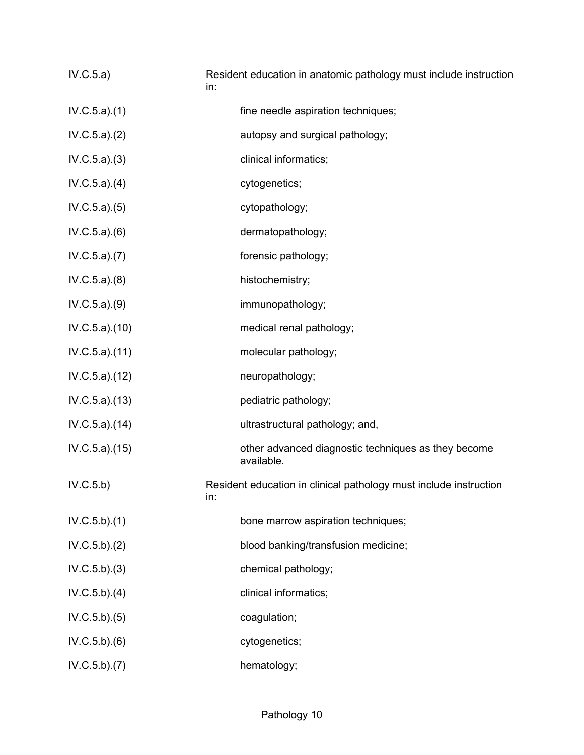| IV.C.5.a)      | Resident education in anatomic pathology must include instruction<br>in: |
|----------------|--------------------------------------------------------------------------|
| IV.C.5.a)(1)   | fine needle aspiration techniques;                                       |
| IV.C.5.a)(2)   | autopsy and surgical pathology;                                          |
| IV.C.5.a)(3)   | clinical informatics;                                                    |
| IV.C.5.a)(4)   | cytogenetics;                                                            |
| IV.C.5.a)(5)   | cytopathology;                                                           |
| IV.C.5.a)(6)   | dermatopathology;                                                        |
| IV.C.5.a)(7)   | forensic pathology;                                                      |
| IV.C.5.a)(8)   | histochemistry;                                                          |
| IV.C.5.a)(9)   | immunopathology;                                                         |
| IV.C.5.a)(10)  | medical renal pathology;                                                 |
| IV.C.5.a)(11)  | molecular pathology;                                                     |
| IV.C.5.a).(12) | neuropathology;                                                          |
| IV.C.5.a)(13)  | pediatric pathology;                                                     |
| IV.C.5.a).(14) | ultrastructural pathology; and,                                          |
| IV.C.5.a)(15)  | other advanced diagnostic techniques as they become<br>available.        |
| IV.C.5.b)      | Resident education in clinical pathology must include instruction<br>In: |
| IV.C.5.b)(1)   | bone marrow aspiration techniques;                                       |
| IV.C.5.b)(2)   | blood banking/transfusion medicine;                                      |
| IV.C.5.b)(3)   | chemical pathology;                                                      |
| IV.C.5.b)(4)   | clinical informatics;                                                    |
| IV.C.5.b)(5)   | coagulation;                                                             |
| IV.C.5.b)(6)   | cytogenetics;                                                            |
| IV.C.5.b)(7)   | hematology;                                                              |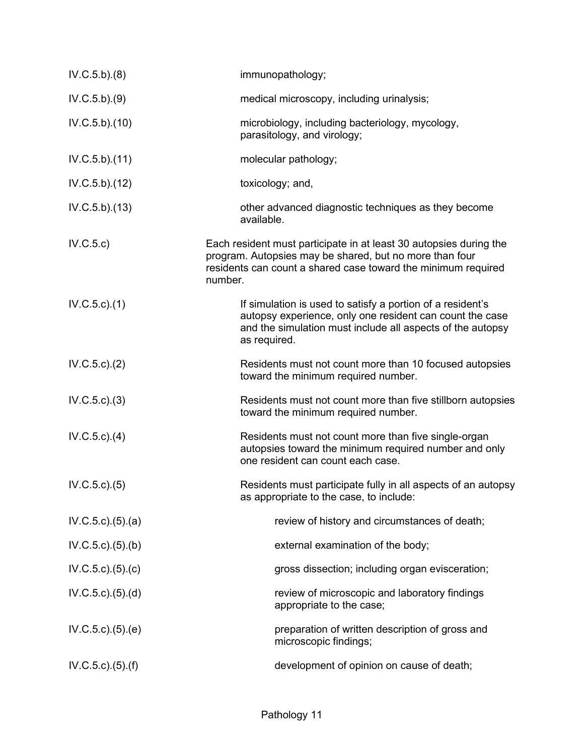| IV.C.5.b)(8)                | immunopathology;                                                                                                                                                                                          |
|-----------------------------|-----------------------------------------------------------------------------------------------------------------------------------------------------------------------------------------------------------|
| IV.C.5.b)(9)                | medical microscopy, including urinalysis;                                                                                                                                                                 |
| IV.C.5.b).(10)              | microbiology, including bacteriology, mycology,<br>parasitology, and virology;                                                                                                                            |
| IV.C.5.b)(11)               | molecular pathology;                                                                                                                                                                                      |
| IV.C.5.b).(12)              | toxicology; and,                                                                                                                                                                                          |
| IV.C.5.b).(13)              | other advanced diagnostic techniques as they become<br>available.                                                                                                                                         |
| IV.C.5.c)                   | Each resident must participate in at least 30 autopsies during the<br>program. Autopsies may be shared, but no more than four<br>residents can count a shared case toward the minimum required<br>number. |
| IV.C.5.c.1)                 | If simulation is used to satisfy a portion of a resident's<br>autopsy experience, only one resident can count the case<br>and the simulation must include all aspects of the autopsy<br>as required.      |
| IV.C.5.c.2)                 | Residents must not count more than 10 focused autopsies<br>toward the minimum required number.                                                                                                            |
| IV.C.5.c.3)                 | Residents must not count more than five stillborn autopsies<br>toward the minimum required number.                                                                                                        |
| $IV.C.5.c.$ (4)             | Residents must not count more than five single-organ<br>autopsies toward the minimum required number and only<br>one resident can count each case.                                                        |
| IV.C.5.c.5()                | Residents must participate fully in all aspects of an autopsy<br>as appropriate to the case, to include:                                                                                                  |
| IV.C.5.c.)(5).(a)           | review of history and circumstances of death;                                                                                                                                                             |
| IV.C.5.c.)(5)(b)            | external examination of the body;                                                                                                                                                                         |
| IV.C.5.c.)(5).(c)           | gross dissection; including organ evisceration;                                                                                                                                                           |
| IV.C.5.c.)(5).(d)           | review of microscopic and laboratory findings<br>appropriate to the case;                                                                                                                                 |
| IV.C.5.c.)(5).(e)           | preparation of written description of gross and<br>microscopic findings;                                                                                                                                  |
| $IV.C.5.c$ ). $(5)$ . $(f)$ | development of opinion on cause of death;                                                                                                                                                                 |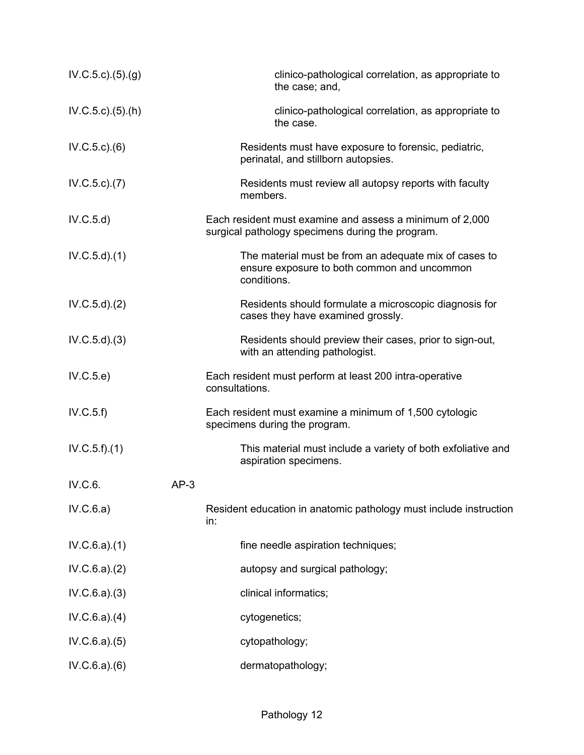| IV.C.5.c.)(5).(g)      |        | clinico-pathological correlation, as appropriate to<br>the case; and,                                               |
|------------------------|--------|---------------------------------------------------------------------------------------------------------------------|
| $IV.C.5.c$ . $(5).(h)$ |        | clinico-pathological correlation, as appropriate to<br>the case.                                                    |
| $IV.C.5.c.$ $(6)$      |        | Residents must have exposure to forensic, pediatric,<br>perinatal, and stillborn autopsies.                         |
| IV.C.5.c.7)            |        | Residents must review all autopsy reports with faculty<br>members.                                                  |
| IV.C.5.d)              |        | Each resident must examine and assess a minimum of 2,000<br>surgical pathology specimens during the program.        |
| IV.C.5.d)(1)           |        | The material must be from an adequate mix of cases to<br>ensure exposure to both common and uncommon<br>conditions. |
| IV.C.5.d)(2)           |        | Residents should formulate a microscopic diagnosis for<br>cases they have examined grossly.                         |
| IV.C.5.d)(3)           |        | Residents should preview their cases, prior to sign-out,<br>with an attending pathologist.                          |
| IV.C.5.e)              |        | Each resident must perform at least 200 intra-operative<br>consultations.                                           |
| IV.C.5.f)              |        | Each resident must examine a minimum of 1,500 cytologic<br>specimens during the program.                            |
| IV.C.5.f)(1)           |        | This material must include a variety of both exfoliative and<br>aspiration specimens.                               |
| IV.C.6.                | $AP-3$ |                                                                                                                     |
| IV.C.6.a)              |        | Resident education in anatomic pathology must include instruction<br>in:                                            |
| IV.C.6.a)(1)           |        | fine needle aspiration techniques;                                                                                  |
| IV.C.6.a)(2)           |        | autopsy and surgical pathology;                                                                                     |
| IV.C.6.a)(3)           |        | clinical informatics;                                                                                               |
| IV.C.6.a)(4)           |        | cytogenetics;                                                                                                       |
| IV.C.6.a)(5)           |        | cytopathology;                                                                                                      |
| IV.C.6.a)(6)           |        | dermatopathology;                                                                                                   |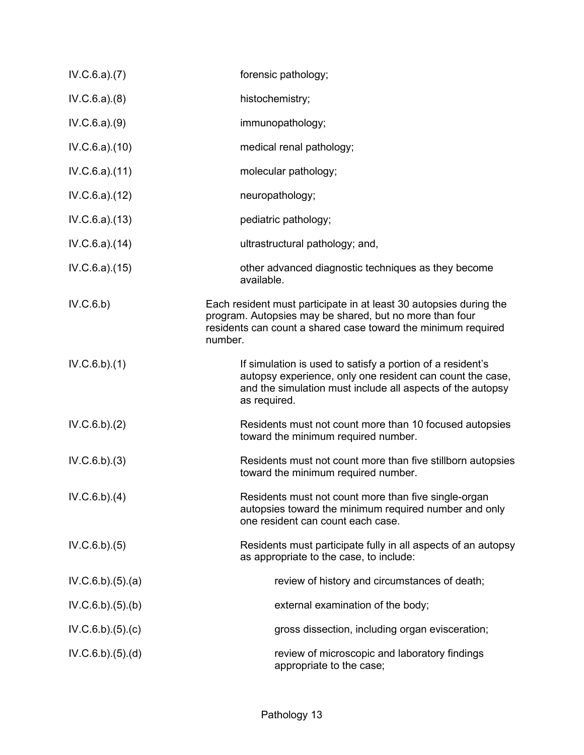| IV.C.6.a)(7)    | forensic pathology;                                                                                                                                                                                       |
|-----------------|-----------------------------------------------------------------------------------------------------------------------------------------------------------------------------------------------------------|
| IV.C.6.a)(8)    | histochemistry;                                                                                                                                                                                           |
| IV.C.6.a)(9)    | immunopathology;                                                                                                                                                                                          |
| IV.C.6.a).(10)  | medical renal pathology;                                                                                                                                                                                  |
| IV.C.6.a).(11)  | molecular pathology;                                                                                                                                                                                      |
| IV.C.6.a)(12)   | neuropathology;                                                                                                                                                                                           |
| IV.C.6.a)(13)   | pediatric pathology;                                                                                                                                                                                      |
| IV.C.6.a)(14)   | ultrastructural pathology; and,                                                                                                                                                                           |
| IV.C.6.a)(15)   | other advanced diagnostic techniques as they become<br>available.                                                                                                                                         |
| IV.C.6.b)       | Each resident must participate in at least 30 autopsies during the<br>program. Autopsies may be shared, but no more than four<br>residents can count a shared case toward the minimum required<br>number. |
| IV.C.6.b)(1)    | If simulation is used to satisfy a portion of a resident's<br>autopsy experience, only one resident can count the case,<br>and the simulation must include all aspects of the autopsy<br>as required.     |
| IV.C.6.b)(2)    | Residents must not count more than 10 focused autopsies<br>toward the minimum required number.                                                                                                            |
| IV.C.6.b)(3)    | Residents must not count more than five stillborn autopsies<br>toward the minimum required number.                                                                                                        |
| IV.C.6.b)(4)    | Residents must not count more than five single-organ<br>autopsies toward the minimum required number and only<br>one resident can count each case.                                                        |
| IV.C.6.b)(5)    | Residents must participate fully in all aspects of an autopsy<br>as appropriate to the case, to include:                                                                                                  |
| IV.C.6.b)(5)(a) | review of history and circumstances of death;                                                                                                                                                             |
| IV.C.6.b)(5)(b) | external examination of the body;                                                                                                                                                                         |
| IV.C.6.b)(5)(c) | gross dissection, including organ evisceration;                                                                                                                                                           |
| IV.C.6.b)(5)(d) | review of microscopic and laboratory findings<br>appropriate to the case;                                                                                                                                 |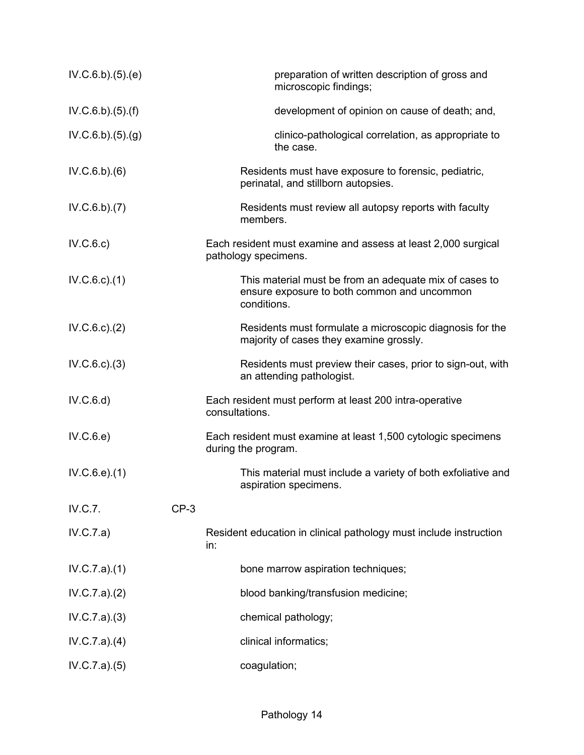| IV.C.6.b)(5)(e) |        | preparation of written description of gross and<br>microscopic findings;                                             |
|-----------------|--------|----------------------------------------------------------------------------------------------------------------------|
| IV.C.6.b)(5)(f) |        | development of opinion on cause of death; and,                                                                       |
| IV.C.6.b)(5)(g) |        | clinico-pathological correlation, as appropriate to<br>the case.                                                     |
| IV.C.6.b)(6)    |        | Residents must have exposure to forensic, pediatric,<br>perinatal, and stillborn autopsies.                          |
| IV.C.6.b)(7)    |        | Residents must review all autopsy reports with faculty<br>members.                                                   |
| IV.C.6.c)       |        | Each resident must examine and assess at least 2,000 surgical<br>pathology specimens.                                |
| IV.C.6.c.1)     |        | This material must be from an adequate mix of cases to<br>ensure exposure to both common and uncommon<br>conditions. |
| IV.C.6.c.2)     |        | Residents must formulate a microscopic diagnosis for the<br>majority of cases they examine grossly.                  |
| IV.C.6.c.3)     |        | Residents must preview their cases, prior to sign-out, with<br>an attending pathologist.                             |
| IV.C.6.d)       |        | Each resident must perform at least 200 intra-operative<br>consultations.                                            |
| IV.C.6.e)       |        | Each resident must examine at least 1,500 cytologic specimens<br>during the program.                                 |
| IV.C.6.e).(1)   |        | This material must include a variety of both exfoliative and<br>aspiration specimens.                                |
| IV.C.7.         | $CP-3$ |                                                                                                                      |
| IV.C.7.a)       |        | Resident education in clinical pathology must include instruction<br>in:                                             |
| IV.C.7.a)(1)    |        | bone marrow aspiration techniques;                                                                                   |
| IV.C.7.a)(2)    |        | blood banking/transfusion medicine;                                                                                  |
| IV.C.7.a)(3)    |        | chemical pathology;                                                                                                  |
| IV.C.7.a)(4)    |        | clinical informatics;                                                                                                |
| IV.C.7.a)(5)    |        | coagulation;                                                                                                         |